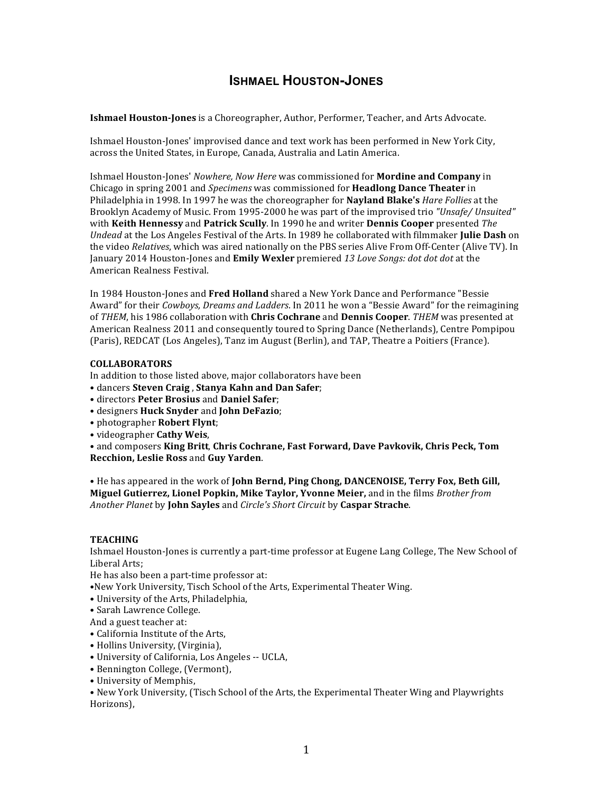# **ISHMAEL HOUSTON-JONES**

**Ishmael Houston-Jones** is a Choreographer, Author, Performer, Teacher, and Arts Advocate.

Ishmael Houston-Jones' improvised dance and text work has been performed in New York City, across the United States, in Europe, Canada, Australia and Latin America.

Ishmael Houston-Jones' *Nowhere, Now Here was commissioned for Mordine and Company* in Chicago in spring 2001 and *Specimens* was commissioned for **Headlong Dance Theater** in Philadelphia in 1998. In 1997 he was the choreographer for **Nayland Blake's** *Hare Follies* at the Brooklyn Academy of Music. From 1995-2000 he was part of the improvised trio *"Unsafe/ Unsuited"* with **Keith Hennessy** and Patrick Scully. In 1990 he and writer **Dennis Cooper** presented *The Undead* at the Los Angeles Festival of the Arts. In 1989 he collaborated with filmmaker **Julie Dash** on the video *Relatives*, which was aired nationally on the PBS series Alive From Off-Center (Alive TV). In January 2014 Houston-Jones and **Emily Wexler** premiered 13 Love Songs: dot dot dot at the American Realness Festival.

In 1984 Houston-Jones and Fred Holland shared a New York Dance and Performance "Bessie Award" for their *Cowboys, Dreams and Ladders*. In 2011 he won a "Bessie Award" for the reimagining of *THEM*, his 1986 collaboration with *Chris Cochrane* and *Dennis Cooper*. *THEM* was presented at American Realness 2011 and consequently toured to Spring Dance (Netherlands), Centre Pompipou (Paris), REDCAT (Los Angeles), Tanz im August (Berlin), and TAP, Theatre a Poitiers (France).

## **COLLABORATORS**

In addition to those listed above, major collaborators have been

- • dancers **Steven Craig** , **Stanya Kahn and Dan Safer**;
- • directors **Peter Brosius** and **Daniel Safer**;
- • designers **Huck Snyder** and **John DeFazio**;
- photographer **Robert Flynt**;
- • videographer **Cathy Weis**,

• and composers King Britt, Chris Cochrane, Fast Forward, Dave Pavkovik, Chris Peck, Tom **Recchion, Leslie Ross** and **Guy Yarden**.

• He has appeared in the work of **John Bernd, Ping Chong, DANCENOISE, Terry Fox, Beth Gill, Miguel Gutierrez, Lionel Popkin, Mike Taylor, Yvonne Meier,** and in the films *Brother from Another Planet* by **John Sayles** and *Circle's Short Circuit* by **Caspar Strache**.

## **TEACHING**

Ishmael Houston-Jones is currently a part-time professor at Eugene Lang College, The New School of Liberal Arts;

He has also been a part-time professor at:

•New York University, Tisch School of the Arts, Experimental Theater Wing.

- University of the Arts, Philadelphia,
- Sarah Lawrence College.
- And a guest teacher at:
- California Institute of the Arts,
- Hollins University, (Virginia),
- University of California, Los Angeles -- UCLA,
- Bennington College, (Vermont),
- University of Memphis,

• New York University, (Tisch School of the Arts, the Experimental Theater Wing and Playwrights Horizons),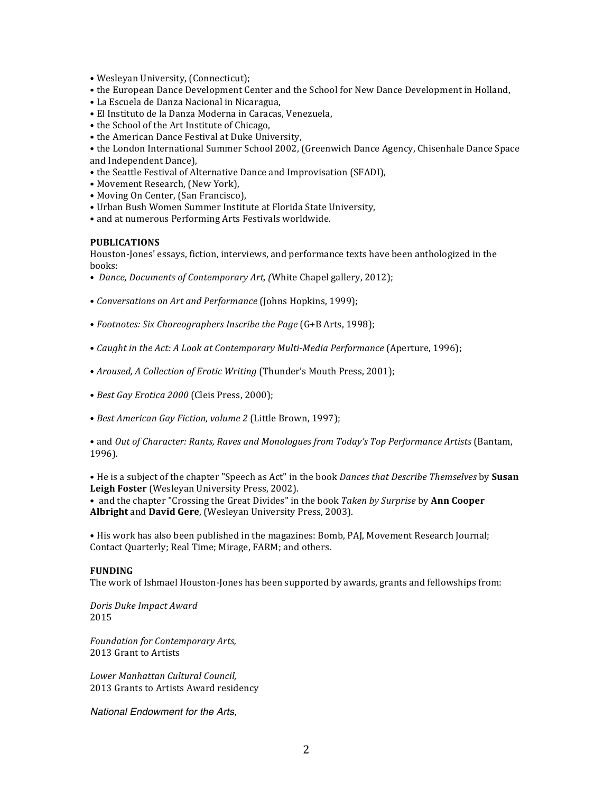- Wesleyan University, (Connecticut);
- the European Dance Development Center and the School for New Dance Development in Holland.
- La Escuela de Danza Nacional in Nicaragua,
- El Instituto de la Danza Moderna in Caracas, Venezuela,
- the School of the Art Institute of Chicago,
- the American Dance Festival at Duke University,

• the London International Summer School 2002, (Greenwich Dance Agency, Chisenhale Dance Space and Independent Dance),

- the Seattle Festival of Alternative Dance and Improvisation (SFADI),
- Movement Research, (New York),
- Moving On Center, (San Francisco),
- Urban Bush Women Summer Institute at Florida State University,
- and at numerous Performing Arts Festivals worldwide.

#### **PUBLICATIONS**

Houston-Jones' essays, fiction, interviews, and performance texts have been anthologized in the books:

- *Dance, Documents of Contemporary Art, (White Chapel gallery, 2012);*
- *Conversations on Art and Performance* (Johns Hopkins, 1999);
- *Footnotes: Six Choreographers Inscribe the Page* (G+B Arts, 1998);
- *Caught in the Act: A Look at Contemporary Multi-Media Performance* (Aperture, 1996);
- *Aroused, A Collection of Erotic Writing* (Thunder's Mouth Press, 2001);
- Best Gay Erotica 2000 (Cleis Press, 2000);
- Best American Gay Fiction, volume 2 (Little Brown, 1997);

• and *Out of Character: Rants, Raves and Monologues from Today's Top Performance Artists* (Bantam, 1996).

• He is a subject of the chapter "Speech as Act" in the book *Dances that Describe Themselves* by **Susan** Leigh Foster (Wesleyan University Press, 2002).

• and the chapter "Crossing the Great Divides" in the book *Taken by Surprise* by **Ann Cooper** Albright and David Gere, (Wesleyan University Press, 2003).

• His work has also been published in the magazines: Bomb, PAJ, Movement Research Journal; Contact Ouarterly: Real Time: Mirage, FARM: and others.

#### **FUNDING**

The work of Ishmael Houston-Jones has been supported by awards, grants and fellowships from:

*Doris Duke Impact Award* 2015

*Foundation for Contemporary Arts,* 2013 Grant to Artists

*Lower Manhattan Cultural Council,* 2013 Grants to Artists Award residency

*National Endowment for the Arts,*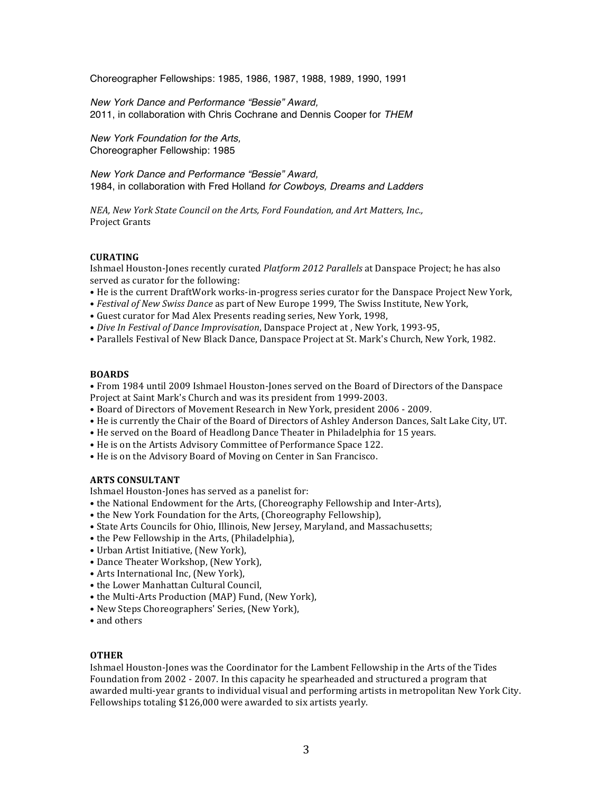Choreographer Fellowships: 1985, 1986, 1987, 1988, 1989, 1990, 1991

*New York Dance and Performance "Bessie" Award,* 2011, in collaboration with Chris Cochrane and Dennis Cooper for *THEM*

*New York Foundation for the Arts,* Choreographer Fellowship: 1985

*New York Dance and Performance "Bessie" Award,* 1984, in collaboration with Fred Holland *for Cowboys, Dreams and Ladders*

*NEA, New York State Council on the Arts, Ford Foundation, and Art Matters, Inc.,* Project Grants

## **CURATING**

Ishmael Houston-Jones recently curated *Platform 2012 Parallels* at Danspace Project; he has also served as curator for the following:

- He is the current DraftWork works-in-progress series curator for the Danspace Project New York,
- *Festival of New Swiss Dance* as part of New Europe 1999, The Swiss Institute, New York,
- Guest curator for Mad Alex Presents reading series, New York, 1998,
- *Dive In Festival of Dance Improvisation*, Danspace Project at, New York, 1993-95,
- Parallels Festival of New Black Dance, Danspace Project at St. Mark's Church, New York, 1982.

## **BOARDS**

• From 1984 until 2009 Ishmael Houston-Jones served on the Board of Directors of the Danspace Project at Saint Mark's Church and was its president from 1999-2003.

- Board of Directors of Movement Research in New York, president 2006 2009.
- He is currently the Chair of the Board of Directors of Ashley Anderson Dances, Salt Lake City, UT.
- He served on the Board of Headlong Dance Theater in Philadelphia for 15 years.
- He is on the Artists Advisory Committee of Performance Space 122.
- He is on the Advisory Board of Moving on Center in San Francisco.

## **ARTS CONSULTANT**

Ishmael Houston-Jones has served as a panelist for:

- the National Endowment for the Arts, (Choreography Fellowship and Inter-Arts),
- the New York Foundation for the Arts, (Choreography Fellowship),
- State Arts Councils for Ohio, Illinois, New Jersey, Maryland, and Massachusetts;
- the Pew Fellowship in the Arts, (Philadelphia),
- Urban Artist Initiative, (New York),
- Dance Theater Workshop, (New York),
- Arts International Inc, (New York),
- the Lower Manhattan Cultural Council,
- the Multi-Arts Production (MAP) Fund, (New York),
- • New Steps Choreographers' Series, (New York),
- and others

## **OTHER**

Ishmael Houston-Jones was the Coordinator for the Lambent Fellowship in the Arts of the Tides Foundation from 2002 - 2007. In this capacity he spearheaded and structured a program that awarded multi-year grants to individual visual and performing artists in metropolitan New York City. Fellowships totaling \$126,000 were awarded to six artists yearly.